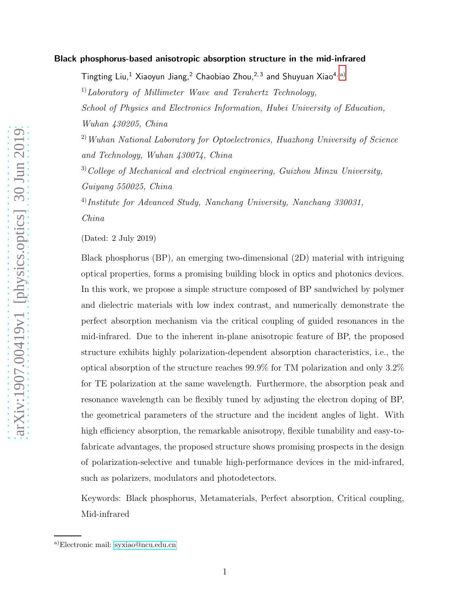#### Black phosphorus-based anisotropic absorption structure in the mid-infrared

Tingting Liu,<sup>1</sup> Xiaoyun Jiang,<sup>2</sup> Chaobiao Zhou,<sup>2,3</sup> and Shuyuan Xiao<sup>4, [a\)](#page-0-0)</sup>  $1)$ Laboratory of Millimeter Wave and Terahertz Technology, School of Physics and Electronics Information, Hubei University of Education, Wuhan 430205, China  $^{2)}$  Wuhan National Laboratory for Optoelectronics, Huazhong University of Science and Technology, Wuhan 430074, China  $3)$ College of Mechanical and electrical engineering, Guizhou Minzu University, Guiyang 550025, China  $^{4)}$ Institute for Advanced Study, Nanchang University, Nanchang 330031,

China

(Dated: 2 July 2019)

Black phosphorus (BP), an emerging two-dimensional (2D) material with intriguing optical properties, forms a promising building block in optics and photonics devices. In this work, we propose a simple structure composed of BP sandwiched by polymer and dielectric materials with low index contrast, and numerically demonstrate the perfect absorption mechanism via the critical coupling of guided resonances in the mid-infrared. Due to the inherent in-plane anisotropic feature of BP, the proposed structure exhibits highly polarization-dependent absorption characteristics, i.e., the optical absorption of the structure reaches 99.9% for TM polarization and only 3.2% for TE polarization at the same wavelength. Furthermore, the absorption peak and resonance wavelength can be flexibly tuned by adjusting the electron doping of BP, the geometrical parameters of the structure and the incident angles of light. With high efficiency absorption, the remarkable anisotropy, flexible tunability and easy-tofabricate advantages, the proposed structure shows promising prospects in the design of polarization-selective and tunable high-performance devices in the mid-infrared, such as polarizers, modulators and photodetectors.

Keywords: Black phosphorus, Metamaterials, Perfect absorption, Critical coupling, Mid-infrared

<span id="page-0-0"></span>a)Electronic mail: [syxiao@ncu.edu.cn](mailto:syxiao@ncu.edu.cn)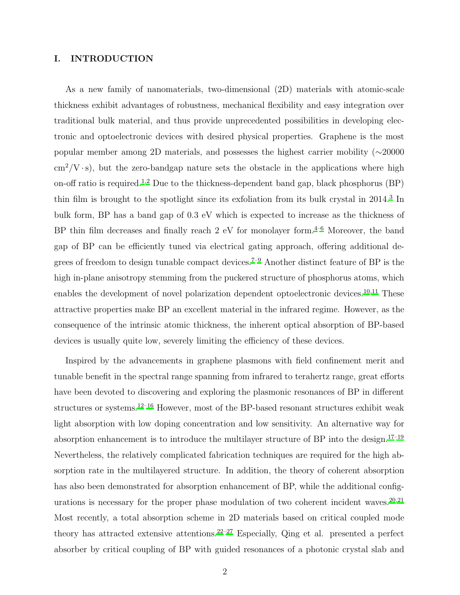## I. INTRODUCTION

As a new family of nanomaterials, two-dimensional (2D) materials with atomic-scale thickness exhibit advantages of robustness, mechanical flexibility and easy integration over traditional bulk material, and thus provide unprecedented possibilities in developing electronic and optoelectronic devices with desired physical properties. Graphene is the most popular member among 2D materials, and possesses the highest carrier mobility (∼20000  $\text{cm}^2$ /V ·s), but the zero-bandgap nature sets the obstacle in the applications where high on-off ratio is required.<sup>[1](#page-10-0)[,2](#page-10-1)</sup> Due to the thickness-dependent band gap, black phosphorus (BP) thin film is brought to the spotlight since its exfoliation from its bulk crystal in 2014.<sup>[3](#page-10-2)</sup> In bulk form, BP has a band gap of 0.3 eV which is expected to increase as the thickness of BP thin film decreases and finally reach  $2 \text{ eV}$  for monolayer form.<sup>[4](#page-10-3)[–6](#page-10-4)</sup> Moreover, the band gap of BP can be efficiently tuned via electrical gating approach, offering additional de-grees of freedom to design tunable compact devices.<sup>[7](#page-10-5)-9</sup> Another distinct feature of BP is the high in-plane anisotropy stemming from the puckered structure of phosphorus atoms, which enables the development of novel polarization dependent optoelectronic devices.[10](#page-11-1)[,11](#page-11-2) These attractive properties make BP an excellent material in the infrared regime. However, as the consequence of the intrinsic atomic thickness, the inherent optical absorption of BP-based devices is usually quite low, severely limiting the efficiency of these devices.

Inspired by the advancements in graphene plasmons with field confinement merit and tunable benefit in the spectral range spanning from infrared to terahertz range, great efforts have been devoted to discovering and exploring the plasmonic resonances of BP in different structures or systems.[12](#page-11-3)[–16](#page-11-4) However, most of the BP-based resonant structures exhibit weak light absorption with low doping concentration and low sensitivity. An alternative way for absorption enhancement is to introduce the multilayer structure of BP into the design.<sup>[17](#page-11-5)[–19](#page-11-6)</sup> Nevertheless, the relatively complicated fabrication techniques are required for the high absorption rate in the multilayered structure. In addition, the theory of coherent absorption has also been demonstrated for absorption enhancement of BP, while the additional configurations is necessary for the proper phase modulation of two coherent incident waves.  $20,21$  $20,21$ Most recently, a total absorption scheme in 2D materials based on critical coupled mode theory has attracted extensive attentions.<sup>[22](#page-11-9)[–27](#page-11-10)</sup> Especially, Qing et al. presented a perfect absorber by critical coupling of BP with guided resonances of a photonic crystal slab and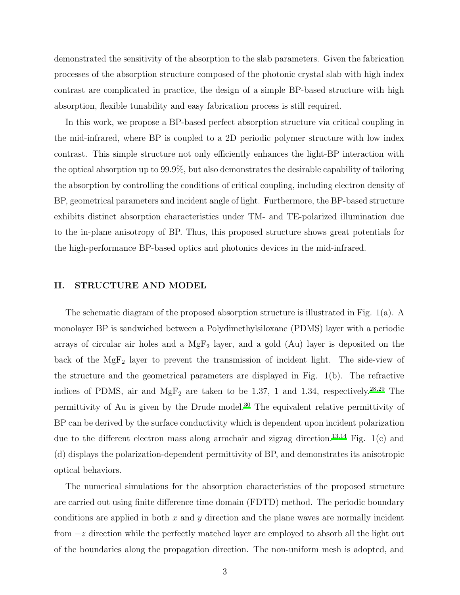demonstrated the sensitivity of the absorption to the slab parameters. Given the fabrication processes of the absorption structure composed of the photonic crystal slab with high index contrast are complicated in practice, the design of a simple BP-based structure with high absorption, flexible tunability and easy fabrication process is still required.

In this work, we propose a BP-based perfect absorption structure via critical coupling in the mid-infrared, where BP is coupled to a 2D periodic polymer structure with low index contrast. This simple structure not only efficiently enhances the light-BP interaction with the optical absorption up to 99.9%, but also demonstrates the desirable capability of tailoring the absorption by controlling the conditions of critical coupling, including electron density of BP, geometrical parameters and incident angle of light. Furthermore, the BP-based structure exhibits distinct absorption characteristics under TM- and TE-polarized illumination due to the in-plane anisotropy of BP. Thus, this proposed structure shows great potentials for the high-performance BP-based optics and photonics devices in the mid-infrared.

#### II. STRUCTURE AND MODEL

The schematic diagram of the proposed absorption structure is illustrated in Fig. 1(a). A monolayer BP is sandwiched between a Polydimethylsiloxane (PDMS) layer with a periodic arrays of circular air holes and a  $MgF_2$  layer, and a gold (Au) layer is deposited on the back of the  $MgF_2$  layer to prevent the transmission of incident light. The side-view of the structure and the geometrical parameters are displayed in Fig. 1(b). The refractive indices of PDMS, air and  $MgF_2$  are taken to be 1.37, 1 and 1.34, respectively.<sup>[28](#page-11-11)[,29](#page-11-12)</sup> The permittivity of Au is given by the Drude model.[30](#page-11-13) The equivalent relative permittivity of BP can be derived by the surface conductivity which is dependent upon incident polarization due to the different electron mass along armchair and zigzag direction.<sup>[13](#page-11-14)[,14](#page-11-15)</sup> Fig. 1(c) and (d) displays the polarization-dependent permittivity of BP, and demonstrates its anisotropic optical behaviors.

The numerical simulations for the absorption characteristics of the proposed structure are carried out using finite difference time domain (FDTD) method. The periodic boundary conditions are applied in both  $x$  and  $y$  direction and the plane waves are normally incident from −z direction while the perfectly matched layer are employed to absorb all the light out of the boundaries along the propagation direction. The non-uniform mesh is adopted, and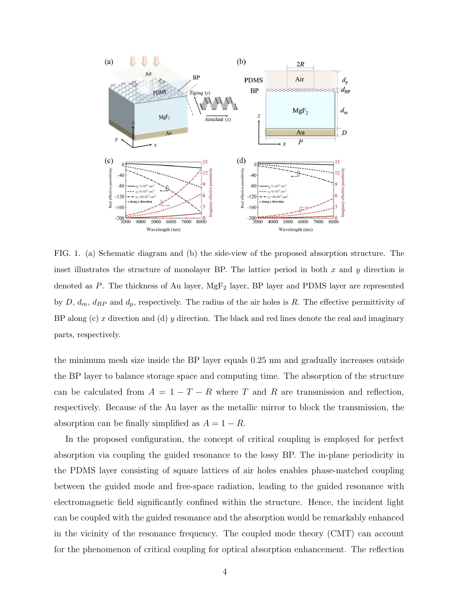

FIG. 1. (a) Schematic diagram and (b) the side-view of the proposed absorption structure. The inset illustrates the structure of monolayer BP. The lattice period in both  $x$  and  $y$  direction is denoted as P. The thickness of Au layer,  $MgF_2$  layer, BP layer and PDMS layer are represented by  $D, d_m, d_{BP}$  and  $d_p$ , respectively. The radius of the air holes is R. The effective permittivity of BP along (c) x direction and (d) y direction. The black and red lines denote the real and imaginary parts, respectively.

the minimum mesh size inside the BP layer equals 0.25 nm and gradually increases outside the BP layer to balance storage space and computing time. The absorption of the structure can be calculated from  $A = 1 - T - R$  where T and R are transmission and reflection, respectively. Because of the Au layer as the metallic mirror to block the transmission, the absorption can be finally simplified as  $A = 1 - R$ .

In the proposed configuration, the concept of critical coupling is employed for perfect absorption via coupling the guided resonance to the lossy BP. The in-plane periodicity in the PDMS layer consisting of square lattices of air holes enables phase-matched coupling between the guided mode and free-space radiation, leading to the guided resonance with electromagnetic field significantly confined within the structure. Hence, the incident light can be coupled with the guided resonance and the absorption would be remarkably enhanced in the vicinity of the resonance frequency. The coupled mode theory (CMT) can account for the phenomenon of critical coupling for optical absorption enhancement. The reflection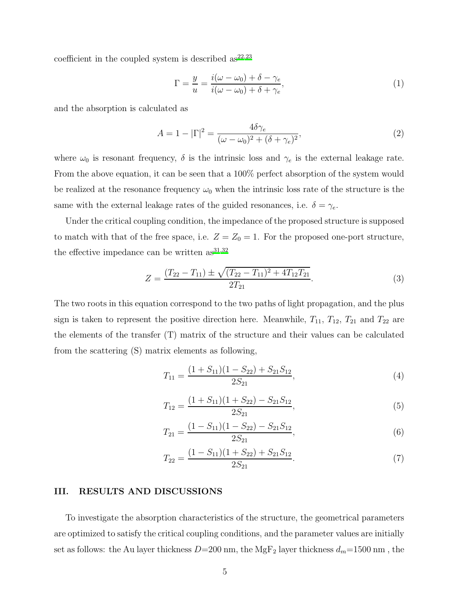coefficient in the coupled system is described  $as^{22,23}$  $as^{22,23}$  $as^{22,23}$  $as^{22,23}$ 

$$
\Gamma = \frac{y}{u} = \frac{i(\omega - \omega_0) + \delta - \gamma_e}{i(\omega - \omega_0) + \delta + \gamma_e},\tag{1}
$$

and the absorption is calculated as

$$
A = 1 - |\Gamma|^2 = \frac{4\delta\gamma_e}{(\omega - \omega_0)^2 + (\delta + \gamma_e)^2},\tag{2}
$$

where  $\omega_0$  is resonant frequency,  $\delta$  is the intrinsic loss and  $\gamma_e$  is the external leakage rate. From the above equation, it can be seen that a 100% perfect absorption of the system would be realized at the resonance frequency  $\omega_0$  when the intrinsic loss rate of the structure is the same with the external leakage rates of the guided resonances, i.e.  $\delta = \gamma_e$ .

Under the critical coupling condition, the impedance of the proposed structure is supposed to match with that of the free space, i.e.  $Z = Z_0 = 1$ . For the proposed one-port structure, the effective impedance can be written  $as^{31,32}$  $as^{31,32}$  $as^{31,32}$  $as^{31,32}$ 

$$
Z = \frac{(T_{22} - T_{11}) \pm \sqrt{(T_{22} - T_{11})^2 + 4T_{12}T_{21}}}{2T_{21}}.
$$
\n(3)

The two roots in this equation correspond to the two paths of light propagation, and the plus sign is taken to represent the positive direction here. Meanwhile,  $T_{11}$ ,  $T_{12}$ ,  $T_{21}$  and  $T_{22}$  are the elements of the transfer (T) matrix of the structure and their values can be calculated from the scattering (S) matrix elements as following,

$$
T_{11} = \frac{(1 + S_{11})(1 - S_{22}) + S_{21}S_{12}}{2S_{21}},\tag{4}
$$

$$
T_{12} = \frac{(1 + S_{11})(1 + S_{22}) - S_{21}S_{12}}{2S_{21}},
$$
\n
$$
(5)
$$

$$
T_{21} = \frac{(1 - S_{11})(1 - S_{22}) - S_{21}S_{12}}{2S_{21}},\tag{6}
$$

$$
T_{22} = \frac{(1 - S_{11})(1 + S_{22}) + S_{21}S_{12}}{2S_{21}}.
$$
\n(7)

## III. RESULTS AND DISCUSSIONS

To investigate the absorption characteristics of the structure, the geometrical parameters are optimized to satisfy the critical coupling conditions, and the parameter values are initially set as follows: the Au layer thickness  $D=200$  nm, the MgF<sub>2</sub> layer thickness  $d_m=1500$  nm, the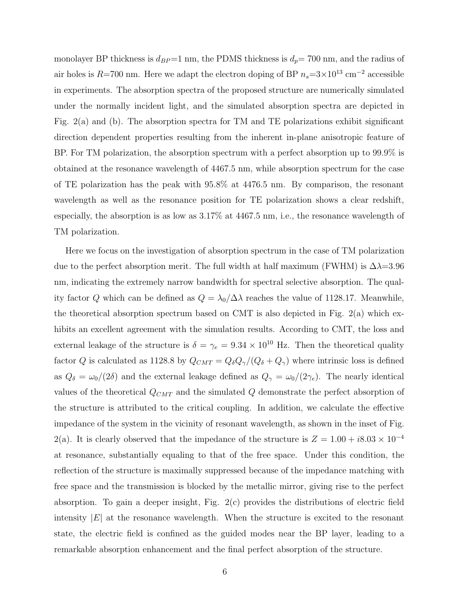monolayer BP thickness is  $d_{BP}=1$  nm, the PDMS thickness is  $d_p= 700$  nm, and the radius of air holes is R=700 nm. Here we adapt the electron doping of BP  $n_s$ =3×10<sup>13</sup> cm<sup>-2</sup> accessible in experiments. The absorption spectra of the proposed structure are numerically simulated under the normally incident light, and the simulated absorption spectra are depicted in Fig. 2(a) and (b). The absorption spectra for TM and TE polarizations exhibit significant direction dependent properties resulting from the inherent in-plane anisotropic feature of BP. For TM polarization, the absorption spectrum with a perfect absorption up to 99.9% is obtained at the resonance wavelength of 4467.5 nm, while absorption spectrum for the case of TE polarization has the peak with 95.8% at 4476.5 nm. By comparison, the resonant wavelength as well as the resonance position for TE polarization shows a clear redshift, especially, the absorption is as low as 3.17% at 4467.5 nm, i.e., the resonance wavelength of TM polarization.

Here we focus on the investigation of absorption spectrum in the case of TM polarization due to the perfect absorption merit. The full width at half maximum (FWHM) is  $\Delta \lambda = 3.96$ nm, indicating the extremely narrow bandwidth for spectral selective absorption. The quality factor Q which can be defined as  $Q = \lambda_0/\Delta\lambda$  reaches the value of 1128.17. Meanwhile, the theoretical absorption spectrum based on CMT is also depicted in Fig. 2(a) which exhibits an excellent agreement with the simulation results. According to CMT, the loss and external leakage of the structure is  $\delta = \gamma_e = 9.34 \times 10^{10}$  Hz. Then the theoretical quality factor Q is calculated as 1128.8 by  $Q_{CMT} = Q_{\delta}Q_{\gamma}/(Q_{\delta} + Q_{\gamma})$  where intrinsic loss is defined as  $Q_{\delta} = \omega_0/(2\delta)$  and the external leakage defined as  $Q_{\gamma} = \omega_0/(2\gamma_e)$ . The nearly identical values of the theoretical  $Q_{CMT}$  and the simulated  $Q$  demonstrate the perfect absorption of the structure is attributed to the critical coupling. In addition, we calculate the effective impedance of the system in the vicinity of resonant wavelength, as shown in the inset of Fig. 2(a). It is clearly observed that the impedance of the structure is  $Z = 1.00 + i8.03 \times 10^{-4}$ at resonance, substantially equaling to that of the free space. Under this condition, the reflection of the structure is maximally suppressed because of the impedance matching with free space and the transmission is blocked by the metallic mirror, giving rise to the perfect absorption. To gain a deeper insight, Fig. 2(c) provides the distributions of electric field intensity  $|E|$  at the resonance wavelength. When the structure is excited to the resonant state, the electric field is confined as the guided modes near the BP layer, leading to a remarkable absorption enhancement and the final perfect absorption of the structure.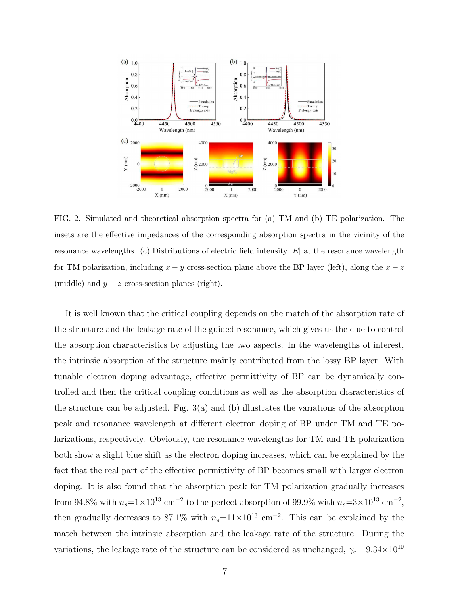

FIG. 2. Simulated and theoretical absorption spectra for (a) TM and (b) TE polarization. The insets are the effective impedances of the corresponding absorption spectra in the vicinity of the resonance wavelengths. (c) Distributions of electric field intensity  $|E|$  at the resonance wavelength for TM polarization, including  $x - y$  cross-section plane above the BP layer (left), along the  $x - z$ (middle) and  $y - z$  cross-section planes (right).

It is well known that the critical coupling depends on the match of the absorption rate of the structure and the leakage rate of the guided resonance, which gives us the clue to control the absorption characteristics by adjusting the two aspects. In the wavelengths of interest, the intrinsic absorption of the structure mainly contributed from the lossy BP layer. With tunable electron doping advantage, effective permittivity of BP can be dynamically controlled and then the critical coupling conditions as well as the absorption characteristics of the structure can be adjusted. Fig.  $3(a)$  and (b) illustrates the variations of the absorption peak and resonance wavelength at different electron doping of BP under TM and TE polarizations, respectively. Obviously, the resonance wavelengths for TM and TE polarization both show a slight blue shift as the electron doping increases, which can be explained by the fact that the real part of the effective permittivity of BP becomes small with larger electron doping. It is also found that the absorption peak for TM polarization gradually increases from 94.8% with  $n_s = 1 \times 10^{13}$  cm<sup>-2</sup> to the perfect absorption of 99.9% with  $n_s = 3 \times 10^{13}$  cm<sup>-2</sup>, then gradually decreases to 87.1% with  $n_s=11\times10^{13}$  cm<sup>-2</sup>. This can be explained by the match between the intrinsic absorption and the leakage rate of the structure. During the variations, the leakage rate of the structure can be considered as unchanged,  $\gamma_e = 9.34 \times 10^{10}$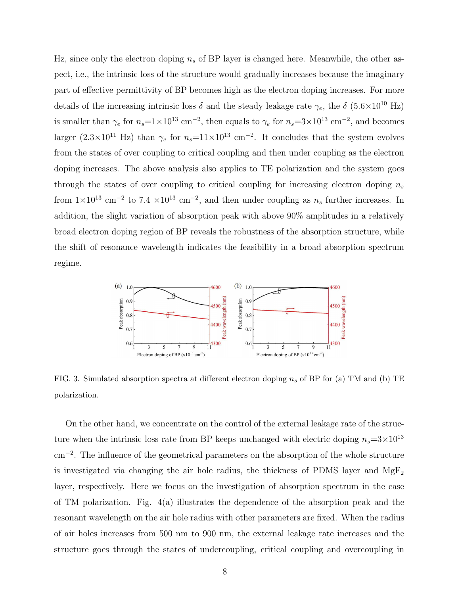Hz, since only the electron doping  $n_s$  of BP layer is changed here. Meanwhile, the other aspect, i.e., the intrinsic loss of the structure would gradually increases because the imaginary part of effective permittivity of BP becomes high as the electron doping increases. For more details of the increasing intrinsic loss  $\delta$  and the steady leakage rate  $\gamma_e$ , the  $\delta$  (5.6×10<sup>10</sup> Hz) is smaller than  $\gamma_e$  for  $n_s=1\times10^{13}$  cm<sup>-2</sup>, then equals to  $\gamma_e$  for  $n_s=3\times10^{13}$  cm<sup>-2</sup>, and becomes larger  $(2.3 \times 10^{11} \text{ Hz})$  than  $\gamma_e$  for  $n_s=11\times 10^{13} \text{ cm}^{-2}$ . It concludes that the system evolves from the states of over coupling to critical coupling and then under coupling as the electron doping increases. The above analysis also applies to TE polarization and the system goes through the states of over coupling to critical coupling for increasing electron doping  $n_s$ from  $1 \times 10^{13}$  cm<sup>-2</sup> to  $7.4 \times 10^{13}$  cm<sup>-2</sup>, and then under coupling as  $n_s$  further increases. In addition, the slight variation of absorption peak with above 90% amplitudes in a relatively broad electron doping region of BP reveals the robustness of the absorption structure, while the shift of resonance wavelength indicates the feasibility in a broad absorption spectrum regime.



FIG. 3. Simulated absorption spectra at different electron doping  $n_s$  of BP for (a) TM and (b) TE polarization.

On the other hand, we concentrate on the control of the external leakage rate of the structure when the intrinsic loss rate from BP keeps unchanged with electric doping  $n_s=3\times10^{13}$ cm<sup>−</sup><sup>2</sup> . The influence of the geometrical parameters on the absorption of the whole structure is investigated via changing the air hole radius, the thickness of PDMS layer and  $MgF_2$ layer, respectively. Here we focus on the investigation of absorption spectrum in the case of TM polarization. Fig.  $4(a)$  illustrates the dependence of the absorption peak and the resonant wavelength on the air hole radius with other parameters are fixed. When the radius of air holes increases from 500 nm to 900 nm, the external leakage rate increases and the structure goes through the states of undercoupling, critical coupling and overcoupling in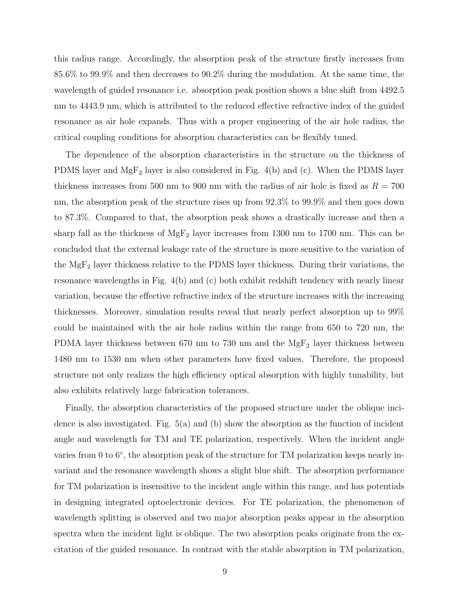this radius range. Accordingly, the absorption peak of the structure firstly increases from 85.6% to 99.9% and then decreases to 90.2% during the modulation. At the same time, the wavelength of guided resonance i.e. absorption peak position shows a blue shift from 4492.5 nm to 4443.9 nm, which is attributed to the reduced effective refractive index of the guided resonance as air hole expands. Thus with a proper engineering of the air hole radius, the critical coupling conditions for absorption characteristics can be flexibly tuned.

The dependence of the absorption characteristics in the structure on the thickness of PDMS layer and  $MgF_2$  layer is also considered in Fig. 4(b) and (c). When the PDMS layer thickness increases from 500 nm to 900 nm with the radius of air hole is fixed as  $R = 700$ nm, the absorption peak of the structure rises up from 92.3% to 99.9% and then goes down to 87.3%. Compared to that, the absorption peak shows a drastically increase and then a sharp fall as the thickness of  $MgF_2$  layer increases from 1300 nm to 1700 nm. This can be concluded that the external leakage rate of the structure is more sensitive to the variation of the  $MgF<sub>2</sub>$  layer thickness relative to the PDMS layer thickness. During their variations, the resonance wavelengths in Fig. 4(b) and (c) both exhibit redshift tendency with nearly linear variation, because the effective refractive index of the structure increases with the increasing thicknesses. Moreover, simulation results reveal that nearly perfect absorption up to 99% could be maintained with the air hole radius within the range from 650 to 720 nm, the PDMA layer thickness between 670 nm to 730 nm and the  $MgF_2$  layer thickness between 1480 nm to 1530 nm when other parameters have fixed values. Therefore, the proposed structure not only realizes the high efficiency optical absorption with highly tunability, but also exhibits relatively large fabrication tolerances.

Finally, the absorption characteristics of the proposed structure under the oblique incidence is also investigated. Fig. 5(a) and (b) show the absorption as the function of incident angle and wavelength for TM and TE polarization, respectively. When the incident angle varies from 0 to 6<sup>°</sup>, the absorption peak of the structure for TM polarization keeps nearly invariant and the resonance wavelength shows a slight blue shift. The absorption performance for TM polarization is insensitive to the incident angle within this range, and has potentials in designing integrated optoelectronic devices. For TE polarization, the phenomenon of wavelength splitting is observed and two major absorption peaks appear in the absorption spectra when the incident light is oblique. The two absorption peaks originate from the excitation of the guided resonance. In contrast with the stable absorption in TM polarization,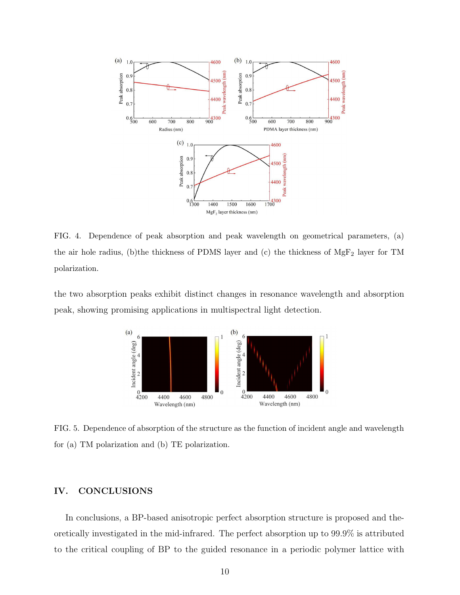

FIG. 4. Dependence of peak absorption and peak wavelength on geometrical parameters, (a) the air hole radius, (b)the thickness of PDMS layer and (c) the thickness of MgF<sup>2</sup> layer for TM polarization.

the two absorption peaks exhibit distinct changes in resonance wavelength and absorption peak, showing promising applications in multispectral light detection.



FIG. 5. Dependence of absorption of the structure as the function of incident angle and wavelength for (a) TM polarization and (b) TE polarization.

## IV. CONCLUSIONS

In conclusions, a BP-based anisotropic perfect absorption structure is proposed and theoretically investigated in the mid-infrared. The perfect absorption up to 99.9% is attributed to the critical coupling of BP to the guided resonance in a periodic polymer lattice with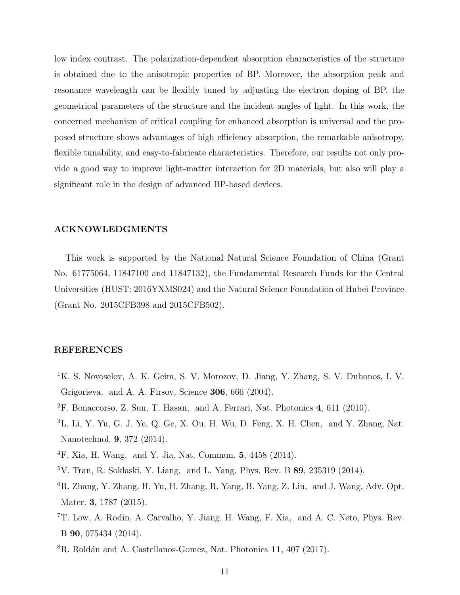low index contrast. The polarization-dependent absorption characteristics of the structure is obtained due to the anisotropic properties of BP. Moreover, the absorption peak and resonance wavelength can be flexibly tuned by adjusting the electron doping of BP, the geometrical parameters of the structure and the incident angles of light. In this work, the concerned mechanism of critical coupling for enhanced absorption is universal and the proposed structure shows advantages of high efficiency absorption, the remarkable anisotropy, flexible tunability, and easy-to-fabricate characteristics. Therefore, our results not only provide a good way to improve light-matter interaction for 2D materials, but also will play a significant role in the design of advanced BP-based devices.

# ACKNOWLEDGMENTS

This work is supported by the National Natural Science Foundation of China (Grant No. 61775064, 11847100 and 11847132), the Fundamental Research Funds for the Central Universities (HUST: 2016YXMS024) and the Natural Science Foundation of Hubei Province (Grant No. 2015CFB398 and 2015CFB502).

#### REFERENCES

- <span id="page-10-0"></span><sup>1</sup>K. S. Novoselov, A. K. Geim, S. V. Morozov, D. Jiang, Y. Zhang, S. V. Dubonos, I. V. Grigorieva, and A. A. Firsov, Science 306, 666 (2004).
- <span id="page-10-1"></span> ${}^{2}$ F. Bonaccorso, Z. Sun, T. Hasan, and A. Ferrari, Nat. Photonics 4, 611 (2010).
- <span id="page-10-2"></span><sup>3</sup>L. Li, Y. Yu, G. J. Ye, Q. Ge, X. Ou, H. Wu, D. Feng, X. H. Chen, and Y. Zhang, Nat. Nanotechnol. 9, 372 (2014).
- <span id="page-10-3"></span><sup>4</sup>F. Xia, H. Wang, and Y. Jia, Nat. Commun. 5, 4458 (2014).
- $5V$ . Tran, R. Soklaski, Y. Liang, and L. Yang, Phys. Rev. B 89, 235319 (2014).
- <span id="page-10-4"></span><sup>6</sup>R. Zhang, Y. Zhang, H. Yu, H. Zhang, R. Yang, B. Yang, Z. Liu, and J. Wang, Adv. Opt. Mater. 3, 1787 (2015).
- <span id="page-10-5"></span><sup>7</sup>T. Low, A. Rodin, A. Carvalho, Y. Jiang, H. Wang, F. Xia, and A. C. Neto, Phys. Rev. B 90, 075434 (2014).
- ${}^{8}R.$  Roldán and A. Castellanos-Gomez, Nat. Photonics 11, 407 (2017).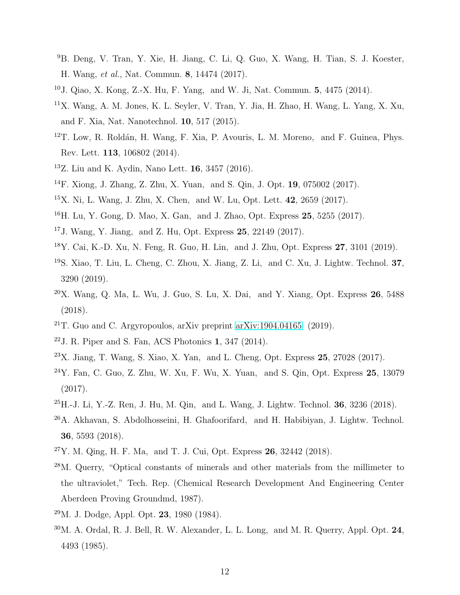- <span id="page-11-0"></span><sup>9</sup>B. Deng, V. Tran, Y. Xie, H. Jiang, C. Li, Q. Guo, X. Wang, H. Tian, S. J. Koester, H. Wang, et al., Nat. Commun. 8, 14474 (2017).
- <span id="page-11-1"></span><sup>10</sup>J. Qiao, X. Kong, Z.-X. Hu, F. Yang, and W. Ji, Nat. Commun. 5, 4475 (2014).
- <span id="page-11-2"></span><sup>11</sup>X. Wang, A. M. Jones, K. L. Seyler, V. Tran, Y. Jia, H. Zhao, H. Wang, L. Yang, X. Xu, and F. Xia, Nat. Nanotechnol. 10, 517 (2015).
- <span id="page-11-3"></span> $12$ T. Low, R. Roldán, H. Wang, F. Xia, P. Avouris, L. M. Moreno, and F. Guinea, Phys. Rev. Lett. 113, 106802 (2014).
- <span id="page-11-14"></span><sup>13</sup>Z. Liu and K. Aydin, Nano Lett. 16, 3457 (2016).
- <span id="page-11-15"></span><sup>14</sup>F. Xiong, J. Zhang, Z. Zhu, X. Yuan, and S. Qin, J. Opt. 19, 075002 (2017).
- $15X$ . Ni, L. Wang, J. Zhu, X. Chen, and W. Lu, Opt. Lett. 42, 2659 (2017).
- <span id="page-11-4"></span><sup>16</sup>H. Lu, Y. Gong, D. Mao, X. Gan, and J. Zhao, Opt. Express 25, 5255 (2017).
- <span id="page-11-5"></span><sup>17</sup>J. Wang, Y. Jiang, and Z. Hu, Opt. Express 25, 22149 (2017).
- $18$ Y. Cai, K.-D. Xu, N. Feng, R. Guo, H. Lin, and J. Zhu, Opt. Express 27, 3101 (2019).
- <span id="page-11-6"></span><sup>19</sup>S. Xiao, T. Liu, L. Cheng, C. Zhou, X. Jiang, Z. Li, and C. Xu, J. Lightw. Technol. 37, 3290 (2019).
- <span id="page-11-7"></span> $20X$ . Wang, Q. Ma, L. Wu, J. Guo, S. Lu, X. Dai, and Y. Xiang, Opt. Express 26, 5488 (2018).
- <span id="page-11-8"></span><sup>21</sup>T. Guo and C. Argyropoulos, arXiv preprint [arXiv:1904.04165](http://arxiv.org/abs/1904.04165) (2019).
- <span id="page-11-9"></span> $22$ J. R. Piper and S. Fan, ACS Photonics 1, 347 (2014).
- <span id="page-11-16"></span> $^{23}$ X. Jiang, T. Wang, S. Xiao, X. Yan, and L. Cheng, Opt. Express 25, 27028 (2017).
- $24$ Y. Fan, C. Guo, Z. Zhu, W. Xu, F. Wu, X. Yuan, and S. Qin, Opt. Express 25, 13079 (2017).
- $^{25}$ H.-J. Li, Y.-Z. Ren, J. Hu, M. Qin, and L. Wang, J. Lightw. Technol. 36, 3236 (2018).
- <sup>26</sup>A. Akhavan, S. Abdolhosseini, H. Ghafoorifard, and H. Habibiyan, J. Lightw. Technol. 36, 5593 (2018).
- <span id="page-11-10"></span> $^{27}Y$ . M. Qing, H. F. Ma, and T. J. Cui, Opt. Express 26, 32442 (2018).
- <span id="page-11-11"></span><sup>28</sup>M. Querry, "Optical constants of minerals and other materials from the millimeter to the ultraviolet," Tech. Rep. (Chemical Research Development And Engineering Center Aberdeen Proving Groundmd, 1987).
- <span id="page-11-12"></span><sup>29</sup>M. J. Dodge, Appl. Opt. 23, 1980 (1984).
- <span id="page-11-13"></span> $30$ M. A. Ordal, R. J. Bell, R. W. Alexander, L. L. Long, and M. R. Querry, Appl. Opt.  $24$ , 4493 (1985).